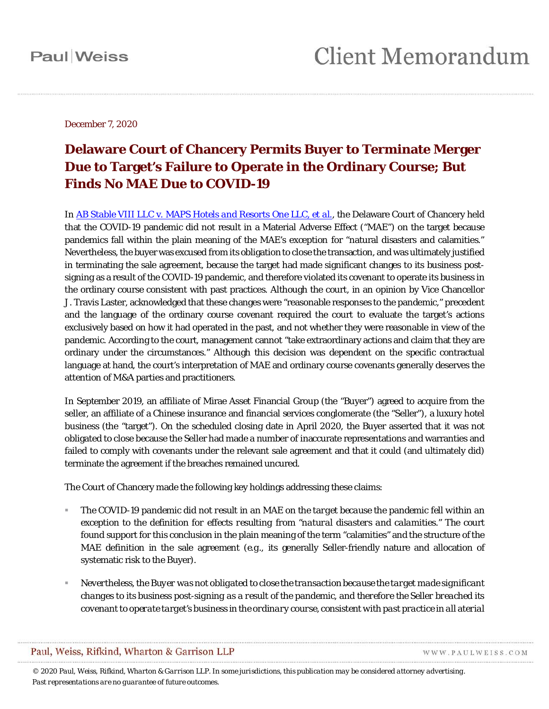December 7, 2020

### **Delaware Court of Chancery Permits Buyer to Terminate Merger Due to Target's Failure to Operate in the Ordinary Course; But Finds No MAE Due to COVID-19**

In *AB Stable VIII LLC* v. *[MAPS Hotels and Resorts One LLC, et al.](https://courts.delaware.gov/Opinions/Download.aspx?id=313600)*, the Delaware Court of Chancery held that the COVID-19 pandemic did not result in a Material Adverse Effect ("MAE") on the target because pandemics fall within the plain meaning of the MAE's exception for "natural disasters and calamities." Nevertheless, the buyer was excused from its obligation to close the transaction, and was ultimately justified in terminating the sale agreement, because the target had made significant changes to its business postsigning as a result of the COVID-19 pandemic, and therefore violated its covenant to operate its business in the ordinary course consistent with past practices. Although the court, in an opinion by Vice Chancellor J. Travis Laster, acknowledged that these changes were "reasonable responses to the pandemic," precedent and the language of the ordinary course covenant required the court to evaluate the target's actions exclusively based on how it had operated in the past, and not whether they were reasonable in view of the pandemic. According to the court, management cannot "take extraordinary actions and claim that they are ordinary under the circumstances." Although this decision was dependent on the specific contractual language at hand, the court's interpretation of MAE and ordinary course covenants generally deserves the attention of M&A parties and practitioners.

In September 2019, an affiliate of Mirae Asset Financial Group (the "Buyer") agreed to acquire from the seller, an affiliate of a Chinese insurance and financial services conglomerate (the "Seller"), a luxury hotel business (the "target"). On the scheduled closing date in April 2020, the Buyer asserted that it was not obligated to close because the Seller had made a number of inaccurate representations and warranties and failed to comply with covenants under the relevant sale agreement and that it could (and ultimately did) terminate the agreement if the breaches remained uncured.

The Court of Chancery made the following key holdings addressing these claims:

- *The COVID-19 pandemic did not result in an MAE on the target because the pandemic fell within an exception to the definition for effects resulting from "natural disasters and calamities."* The court found support for this conclusion in the plain meaning of the term "calamities" and the structure of the MAE definition in the sale agreement (*e.g*., its generally Seller-friendly nature and allocation of systematic risk to the Buyer).
- *Nevertheless, the Buyer was not obligated to close the transaction because the target made significant changes to its business post-signing as a result of the pandemic, and therefore the Seller breached its covenant to operate target's business in the ordinary course, consistent with past practice in all aterial*

Paul, Weiss, Rifkind, Wharton & Garrison LLP

WWW.PAULWEISS.COM

*© 2020 Paul, Weiss, Rifkind, Wharton & Garrison LLP. In some jurisdictions, this publication may be considered attorney advertising. Past representations are no guarantee of future outcomes.*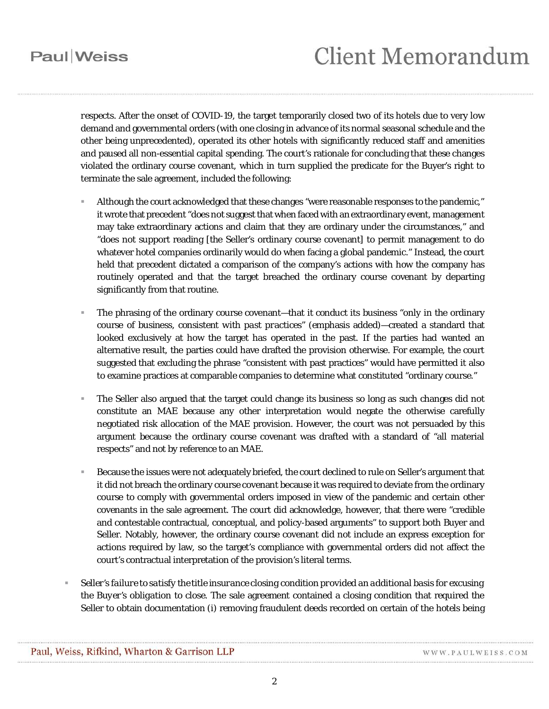## **Paul** Weiss

*respects*. After the onset of COVID-19, the target temporarily closed two of its hotels due to very low demand and governmental orders (with one closing in advance of its normal seasonal schedule and the other being unprecedented), operated its other hotels with significantly reduced staff and amenities and paused all non-essential capital spending. The court's rationale for concluding that these changes violated the ordinary course covenant, which in turn supplied the predicate for the Buyer's right to terminate the sale agreement, included the following:

- Although the court acknowledged that these changes "were reasonable responses to the pandemic," it wrote that precedent "does not suggest that when faced with an extraordinary event, management may take extraordinary actions and claim that they are ordinary under the circumstances," and "does not support reading [the Seller's ordinary course covenant] to permit management to do whatever hotel companies ordinarily would do when facing a global pandemic." Instead, the court held that precedent dictated a comparison of the company's actions with how the company has routinely operated and that the target breached the ordinary course covenant by departing significantly from that routine.
- The phrasing of the ordinary course covenant—that it conduct its business "*only* in the ordinary course of business, *consistent with past practices*" (emphasis added)—created a standard that looked exclusively at how the target has operated in the past. If the parties had wanted an alternative result, the parties could have drafted the provision otherwise. For example, the court suggested that excluding the phrase "consistent with past practices" would have permitted it also to examine practices at comparable companies to determine what constituted "ordinary course."
- The Seller also argued that the target could change its business so long as such changes did not constitute an MAE because any other interpretation would negate the otherwise carefully negotiated risk allocation of the MAE provision. However, the court was not persuaded by this argument because the ordinary course covenant was drafted with a standard of "all material respects" and not by reference to an MAE.
- Because the issues were not adequately briefed, the court declined to rule on Seller's argument that it did not breach the ordinary course covenant because it was required to deviate from the ordinary course to comply with governmental orders imposed in view of the pandemic and certain other covenants in the sale agreement. The court did acknowledge, however, that there were "credible and contestable contractual, conceptual, and policy-based arguments" to support both Buyer and Seller. Notably, however, the ordinary course covenant did not include an express exception for actions required by law, so the target's compliance with governmental orders did not affect the court's contractual interpretation of the provision's literal terms.
- *Seller's failure to satisfy the title insurance closing condition provided an additional basis for excusing the Buyer's obligation to close*. The sale agreement contained a closing condition that required the Seller to obtain documentation (i) removing fraudulent deeds recorded on certain of the hotels being

WWW.PAULWEISS.COM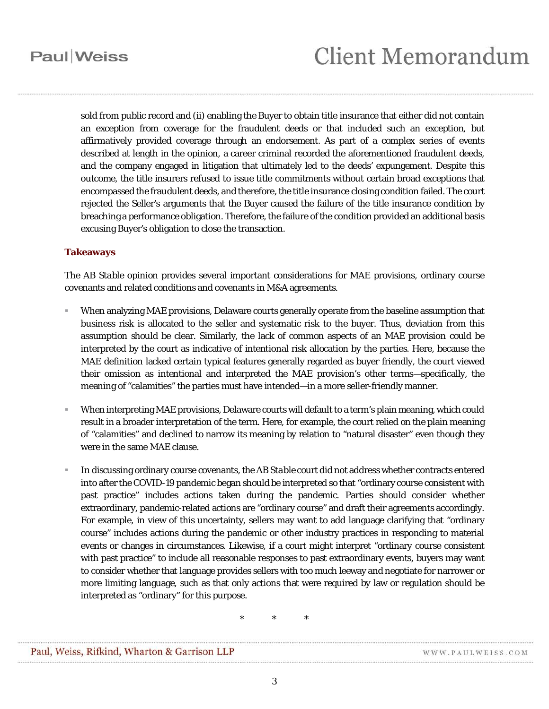sold from public record and (ii) enabling the Buyer to obtain title insurance that either did not contain an exception from coverage for the fraudulent deeds or that included such an exception, but affirmatively provided coverage through an endorsement. As part of a complex series of events described at length in the opinion, a career criminal recorded the aforementioned fraudulent deeds, and the company engaged in litigation that ultimately led to the deeds' expungement. Despite this outcome, the title insurers refused to issue title commitments without certain broad exceptions that encompassed the fraudulent deeds, and therefore, the title insurance closing condition failed. The court rejected the Seller's arguments that the Buyer caused the failure of the title insurance condition by breaching a performance obligation. Therefore, the failure of the condition provided an additional basis excusing Buyer's obligation to close the transaction.

### **Takeaways**

The *AB Stable* opinion provides several important considerations for MAE provisions, ordinary course covenants and related conditions and covenants in M&A agreements.

- When analyzing MAE provisions, Delaware courts generally operate from the baseline assumption that business risk is allocated to the seller and systematic risk to the buyer. Thus, deviation from this assumption should be clear. Similarly, the lack of common aspects of an MAE provision could be interpreted by the court as indicative of intentional risk allocation by the parties. Here, because the MAE definition lacked certain typical features generally regarded as buyer friendly, the court viewed their omission as intentional and interpreted the MAE provision's other terms—specifically, the meaning of "calamities" the parties must have intended—in a more seller-friendly manner.
- When interpreting MAE provisions, Delaware courts will default to a term's plain meaning, which could result in a broader interpretation of the term. Here, for example, the court relied on the plain meaning of "calamities" and declined to narrow its meaning by relation to "natural disaster" even though they were in the same MAE clause.
- In discussing ordinary course covenants, the *AB Stable* court did not address whether contracts entered into after the COVID-19 pandemic began should be interpreted so that "ordinary course consistent with past practice" includes actions taken during the pandemic. Parties should consider whether extraordinary, pandemic-related actions are "ordinary course" and draft their agreements accordingly. For example, in view of this uncertainty, sellers may want to add language clarifying that "ordinary course" includes actions during the pandemic or other industry practices in responding to material events or changes in circumstances. Likewise, if a court might interpret "ordinary course consistent with past practice" to include all reasonable responses to past extraordinary events, buyers may want to consider whether that language provides sellers with too much leeway and negotiate for narrower or more limiting language, such as that only actions that were required by law or regulation should be interpreted as "ordinary" for this purpose.

\* \* \*

WWW.PAULWEISS.COM